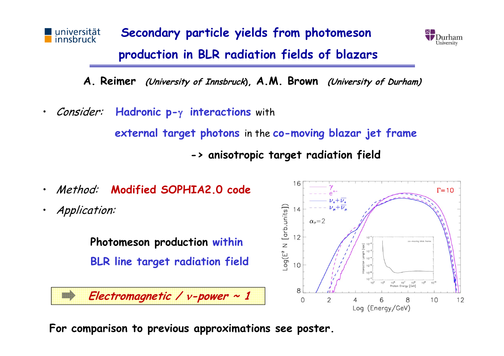



**A. Reimer (University of Innsbruck), A.M. Brown (University of Durham)**

•Consider: Hadronic p- $\gamma$  interactions with

**external target photons** in the **co-moving blazar jet frame**

**-> anisotropic target radiation field**



**For comparison to previous approximations see poster.**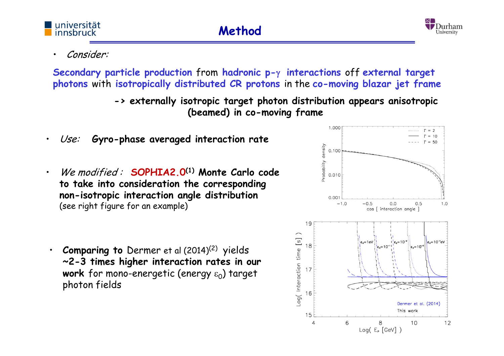

## Consider:

universität

innsbruck

•

•

**Secondary particle production** from **hadronic p- interactions** off **external target photons** with **isotropically distributed CR protons** in the **co-moving blazar jet frame**

> **-> externally isotropic target photon distribution appears anisotropic (beamed) in co-moving frame**

- •Use: **Gyro-phase averaged interaction rate**
- We modified : **SOPHIA2.0(1) Monte Carlo code to take into consideration the corresponding non-isotropic interaction angle distribution**  (see right figure for an example)
- • **Comparing to** Dermer et al (2014)(2) yields **~2-3 times higher interaction rates in our work** for mono-energetic (energy  $\varepsilon_0$ ) target photon fields

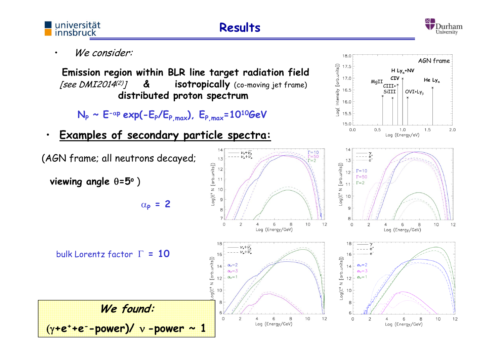

6

 $\circ$ 

 $\overline{2}$ 

6

Log (Energy/GeV)

8

 $(y+e^++e^-$ -power)/  $v$ -power ~ 1



 $2.0$ 

12

10

 $12$ 

6

 $\Omega$ 

2

 $\overline{4}$ 

6

Log (Energy/GeV)

8

10

 $12$